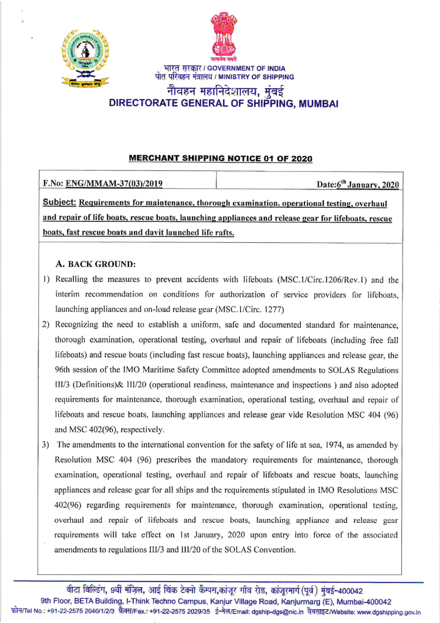



भारत सरकार / GOVERNMENT OF INDIA पोत परिवहन मंत्रालय / MINISTRY OF SHIPPING

# नौवहन महानिदेशालय, मुंबई DIRECTORATE GENERAL OF SHIPPING, MUMBA!

### **MERCHANT SHIPPING NOTICE 01 OF 2020**

| F.No: ENG/MMAM-37(03)/2019                                                                 | Date: $6^{th}$ January, 2020 |
|--------------------------------------------------------------------------------------------|------------------------------|
| Subject: Requirements for maintenance, thorough examination, operational testing, overhaul |                              |

and repair of life boats. rescue boats. launching apoliances and release gear for lifeboats. rescue boats. fast rescue boats and davit launched life rafts.

## A. BACK GROUND:

- 1) Recalling the measures to prevent accidents with lifeboats (MSC.1/Circ.1206/Rev.1) and the interim recommendation on conditions for authorization of service providers for lifeboats, launching appliances and on-load release gear (MSC.1/Circ. 1277)
- 2) Recognizing the need to establish a uniform, safe and documented standard for maintenance, thorough examination, operational testing, overhaul and repair of lifeboats (including free fall lifeboats) and rescue boats (including fast rescue boats), launching appliances and release gear, the 96th session of the IMO Maritime Safety Committee adopted amendments to SOLAS Regulations III/3 (Definitions)& lll/20 (operational readiness, maintenance and inspections ) and also adopted requirements for maintenance, thorough examination, operational testing, overhaul and repair of lifeboats and rescue boats, launching appliances and release gear vide Resolution MSC 404 (96) and MSC 402(96), respectively.
- The amendments to the international convention for the safety of life at sea, 1974, as amended by 3) Resolution MSC 404 (96) prescribes the mandatory requirements for maintenance, thorough examination, operational testing, overhaul and repair of lifeboats and rescue boats, launching appliances and release gear for all ships and the requirements stipulated in IMO Resolutions MSC 402(96) regarding requirements for maintenance, thorough examination, operational testing, overhaul and repair of lifeboats and rescue boats, launching appliance and release gear requirements will take effect on lst January,2020 upon entry into force of the associated amendments to regulations III/3 and III/20 of the SOLAS Convention.

वीटा बिल्डिंग, 9वीं मंज़िल, आई थिंक टेक्नो कैम्पस,कांजूर गाँव रोड, कांजूरमार्ग (पूर्व) मुंबई-400042 9th Floor, BETA Building, I-Think Techno Campus, Kanjur Village Road, Kanjurmarg (E), Mumbai-400042<br>फ़ोन/Tel No.: +91-22-2575 2040/1/2/3 फ़ैक्स/Fax.: +91-22-2575 2029/35 ई-मेल/Email: dgship-dgs@nic.in वैबसाइट/Website: www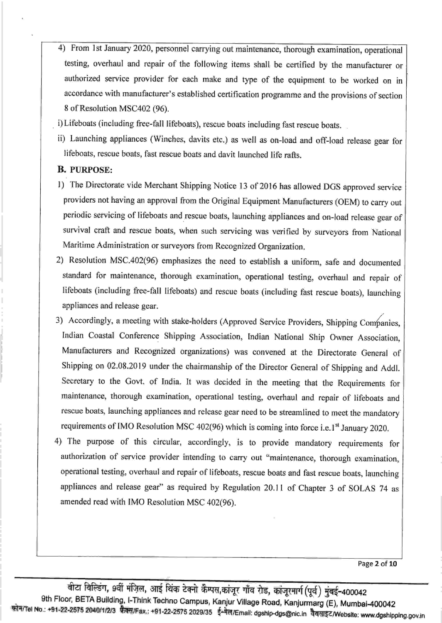- 4) From 1st January 2020, personnel carrying out maintenance, thorough examination, operational testing, overhaul and repair of the following items shall be certified by the manufacturer or authorized service provider for each make and type of the equipment to be worked on in accordance with manufacturer's established certification programme and the provisions of section 8 of Resolution MSC402 (96).
- i) Lifeboats (including free-fall lifeboats), rescue boats including fast rescue boats.
- ii) Launching appliances (Winches, davits etc.) as well as on-load and off-load release gear for lifeboats, rescue boats, fast rescue boats and davit launched life rafts.

#### B. punposp:

- l) The Directorate vide Merchant Shipping Notice 13 of 2016 has allowed DGS approved service providers not having an approval from the Original Equipment Manufacturers (OEM) to carry out periodic servicing of lifeboats and rescue boats, launching appliances and on-load release gear of survival craft and rescue boats, when such servicing was verified by surveyors from National Maritime Administration or surveyors from Recognized organization.
- 2) Resolution MSC.402(96) emphasizes the need to establish a uniform, safe and documented standard for maintenance, thorough examination, operational testing, overhaul and repair of lifeboats (including free-fall lifeboats) and rescue boats (including fast rescue boats), launching appliances and release gear.
- 3) Accordingly, a meeting with stake-holders (Approved Service Providers, Shipping Companies, Indian Coastal Conference Shipping Association, Indian National Ship Owner Association, Manufacturers and Recognized organizations) was convened at the Directorate General of Shipping on 02.08.2019 under the chairmanship of the Director General of Shipping and Addl. Secretary to the Govt. of India. It was decided in the meeting that the Requirements for maintenance, thorough examination, operational testing, overhaul and repair of lifeboats and rescue boats, launching appliances and release gear need to be streamlined to meet the mandatory requirements of IMO Resolution MSC 402(96) which is coming into force i.e.1<sup>st</sup> January 2020.
- 4) The purpose of this circular, accordingly, is to provide mandatory requirements for authorization of service provider intending to carry out "maintenance, thorough examination, operational testing, overhaul and repair of lifeboats, rescue boats and fast rescue boats, launching appliances and release gear" as required by Regulation 20.11 of Chapter 3 of SOLAS 74 as amended read with IMO Resolution MSC 402(96).

Page 2 of 10

बीटा विल्डिंग, 9वीं मंज़िल, आई थिंक टेक्नो कैम्पस,कांजूर गाँव रोड, कांजूरमार्ग(पूर्व) मुंबई-400042 9th Floor, BETA Building, I-Think Techno Campus, Kanjur Village Road, Kanjurmarg (E), Mumbai-400042<br>फोन/Tel No.: +91-22-2575 2040/1/2/3 फैक्स/Fax.: +91-22-2575 2029/35 ई-मेल/Email: dgship-dgs@nic.in वैवसाइट/Website: ww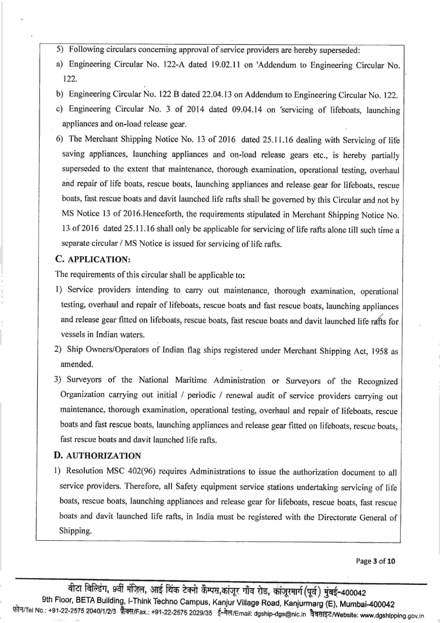- 5) Following circulars concerning approvalof service providers are hereby superseded:
- a) Engineering Circular No. 122-4 dated 19.02.11 on'Addendum to Engineering Circular No. 122.
- b) Engineering Circular No. 122 B dated 22.04.13 on Addendum to Engineering Circular No. 122.
- c) Engineering Circular No. 3 of 2014 dated 09.04.14 on 'servicing of lifeboats, launching appliances and on-load release gear.
- 6) The Merchant Shipping Notice No. 13 of 2016 dated 25.11.16 dealing with Servicing of life saving appliances, launching appliances and on-load release gears etc., is hereby partially superseded to the extent that maintenance, thorough examination, operational testing, overhaul and repair of life boats, rescue boats, launching appliances and release gear for lifeboats, rescue boats, fast rescue boats and davit launched life rafts shall be governed by this Circular and not by MS Notice 13 of 20l6.Henceforth, the requirements stipulated in Merchant Shipping Notice No. 13 of 2016 dated 25.11.16 shall only be applicable for servicing of life rafts alone till such time a separate circular / MS Notice is issued for servicing of life rafts.

### C. APPLICATION:

The requirements of this circular shall be applicable to:

- l) Service providers intending to carry out maintenance, thorough examination, operational testing, overhaul and repair of lifeboats, rescue boats and fast rescue boats, launching appliances and release gear fitted on lifeboats, rescue boats, fast rescue boats and davit launched life rafts for vessels in Indian waters.
- 2) Ship Owners/Operators of Indian flag ships registered under Merchant Shipping Act, 1958 as amended.
- 3) Surveyors of the National Maritime Administration or Surveyors of the Recognized Organization carrying out initial / periodic / renewal audit of service providers carrying out maintenance, thorough examination, operational testing, overhaul and repair of lifeboats, rescue boats and fast rescue boats, launching appliances and release gear fitted on lifeboats, rescue boats, fast rescue boats and davit launched life rafts.

#### D. AUTHoRIzATIoN

l) Resolution MSC 402(96) requires Administrations to issue the authorization document to all service providers. Therefore, all Safety equipment service stations undertaking servicing of life boats, rescue boats, launching appliances and release gear for lifeboats, rescue boats, fast rescue boats and davit launched life rafts, in India must be registered with the Directorate General of Shipping.

Page 3 of 10

वीटा बिल्डिंग, 9वीं मंज़िल, आई थिंक टेक्नो कैम्पस,कांजूर गाँव रोड, कांजूरमार्ग (पूर्व) मुंबई-400042<br>9th Floor, BETA Building, I-Think Techno Campus, Kanjur Village Road, Kanjurmarg (E), Mumbai-400042 फोन/Tel No.: +91-22-2575 2040/1/2/3 फेक्स/Fax.: +91-22-2575 2029/35 ई-मेल/Email: dgship-dgs@nic.in वेबसाइट/Website: www.dgshipping.gov.in